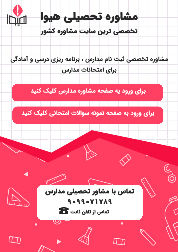

مشاوره تخصصی ثبت نام مدارس ، برنامه ریزی درسی و آمادگی براى امتحانات مدارس

برای ورود به صفحه مشاوره مدارس کلیک کنید

برای ورود به صفحه نمونه سوالات امتحانی کلیک کنید



90990VIVA9 تماس از تلفن ثابت ها

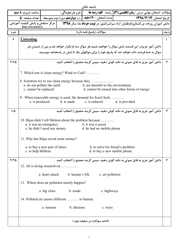|                |                                                                                          |                               |                                                                                         | باسمه تعالى                                     |                  |                                                                                                |      |  |
|----------------|------------------------------------------------------------------------------------------|-------------------------------|-----------------------------------------------------------------------------------------|-------------------------------------------------|------------------|------------------------------------------------------------------------------------------------|------|--|
|                | ساعت شروع: <b>٨ صبح</b>                                                                  |                               | نام و نام خانوادگی :                                                                    |                                                 |                  | سؤالات  متحان نهايي درس : <b>زبان انگليسي (3) </b> رشته : <b>كليه رشته ها</b>                  |      |  |
|                |                                                                                          |                               | مدت امتحان : <b>١٢٠ دقيقه  </b> پايه <b>دوازدهم</b> دورهٔ دوم متوسطه     تعداد صفحه : ۵ |                                                 |                  | تاريخ امتحان: ١٣٩٨/٣/١٣                                                                        |      |  |
|                | مرکز سنجش و پایش کیفیت آموزشی<br>http://aee.medu.ir                                      |                               |                                                                                         |                                                 |                  | دانش آموزان روزانه، بزرگسالوداوطلبان آزاد سراسرکشور در نوبت خرداد ماه سال ۱۳۹۸                 |      |  |
| نمره           |                                                                                          |                               |                                                                                         | سؤالات (ياسخ نامه دارد)                         |                  |                                                                                                | رديف |  |
| ۶              | <b>Listening</b>                                                                         |                               |                                                                                         |                                                 |                  |                                                                                                |      |  |
|                |                                                                                          |                               |                                                                                         |                                                 |                  | دانش آموز عزیزدر این قسمت شش سوال را خواهید شنید.هر سوال سه بارتکرار خواهد شد و پس از شنیدن هر |      |  |
|                | سوال به شما فرصت داده خواهد شد که پاسخ خود را برای سوالهای یک تا شش در پاسخنامه بنویسید. |                               |                                                                                         |                                                 |                  |                                                                                                |      |  |
| $Y/Y$ $\Delta$ |                                                                                          |                               |                                                                                         |                                                 |                  | دانش آموز عزیز به فایل صوتی به دقت گوش دهید، سپس گزینه صحیح را انتخاب کنید.                    | ۲    |  |
|                |                                                                                          |                               | 7. Which one is clean energy? Wind or Coal?                                             |                                                 |                  |                                                                                                |      |  |
|                |                                                                                          |                               | 8. Scientists try to use clean energy because they                                      |                                                 |                  |                                                                                                |      |  |
|                | c. cannot be replaced                                                                    | a. do not pollute the earth   |                                                                                         | b. are harmful to the environment               |                  | d. cannot be turned into other forms of energy                                                 |      |  |
|                |                                                                                          |                               |                                                                                         |                                                 |                  |                                                                                                |      |  |
|                |                                                                                          | a. is produced                | 9. When renewable energy is used, the demand for fossil fuels<br>b. is made             | c. is reduced                                   |                  | d. is provided                                                                                 |      |  |
| $1/\Delta$     |                                                                                          |                               |                                                                                         |                                                 |                  | دانش آموز عزیز به فایل صوتی به دقت گوش دهید، سپس گزینه صحیح را انتخاب کنید.                    | ٣    |  |
|                |                                                                                          | a. it was an emergency        | 10. Bijan didn't tell Mehran about the problem because<br>c. he didn't need any money   | b. it was a secret<br>d. he had no mobile phone |                  |                                                                                                |      |  |
|                | 11. Why has Bijan saved some money?                                                      |                               |                                                                                         |                                                 |                  |                                                                                                |      |  |
|                | c. to help Mehran                                                                        | a. to buy a new pair of shoes |                                                                                         |                                                 |                  | b. to solve his friend's problem<br>d. to buy a new mobile phone                               |      |  |
| $Y/Y\Delta$    |                                                                                          |                               |                                                                                         |                                                 |                  | دانش آموز عزیز به فایل صوتی به دقت گوش دهید، سپس گزینه صحیح را انتخاب کنید.                    | ۴    |  |
|                |                                                                                          |                               | 12. Ali is doing research on                                                            |                                                 |                  |                                                                                                |      |  |
|                |                                                                                          | a. heart attack               | b. human's life                                                                         |                                                 | c. air pollution |                                                                                                |      |  |
|                |                                                                                          |                               | 13. Where does air pollution mostly happen?                                             |                                                 |                  |                                                                                                |      |  |
|                |                                                                                          | a. big cities                 | b. roads                                                                                |                                                 | c. highways      |                                                                                                |      |  |
|                |                                                                                          |                               | 14. Polluted air causes different  to human.                                            |                                                 |                  |                                                                                                |      |  |
|                |                                                                                          | a. reasons                    | b. diseases                                                                             |                                                 | c. ways          |                                                                                                |      |  |
|                |                                                                                          |                               |                                                                                         | «ادامه سوالات در صفحه دوم »                     |                  |                                                                                                |      |  |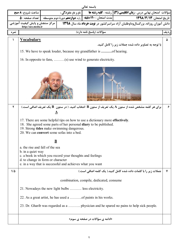|            |                                                                                                                                                                                                                                                   |                          |                                                           | باسمه تعالى                                                    |                                                                                                                                   |      |  |  |
|------------|---------------------------------------------------------------------------------------------------------------------------------------------------------------------------------------------------------------------------------------------------|--------------------------|-----------------------------------------------------------|----------------------------------------------------------------|-----------------------------------------------------------------------------------------------------------------------------------|------|--|--|
|            | <b>  ساعت شروع: 8 صبح</b>                                                                                                                                                                                                                         |                          | نام و نام خانوادگی :                                      |                                                                | سؤالات  متحان نهایی درس : <b>زبان انگلیسی (3) </b> رشته : <b>کلیه رشته ها</b>                                                     |      |  |  |
|            |                                                                                                                                                                                                                                                   |                          |                                                           |                                                                |                                                                                                                                   |      |  |  |
|            | http://aee.medu.ir                                                                                                                                                                                                                                |                          |                                                           |                                                                | دانش آموزان روزانه، بزرگسالوداوطلبان آزاد سراسرکشور در <b>نوبت خرداد</b> ماه سال <b>۱۳۹۸ ه</b> ا از مرکز سنجش و پایش کیفیت آموزشی |      |  |  |
| نمره       |                                                                                                                                                                                                                                                   |                          |                                                           | سؤالات (پاسخ نامه دارد)                                        |                                                                                                                                   | رديف |  |  |
|            | <b>Vocabulary</b>                                                                                                                                                                                                                                 |                          |                                                           |                                                                |                                                                                                                                   | ۵    |  |  |
|            | با توجه به تصاویر داده شده جملات زیر را کامل کنید.<br>15. We have to speak louder, because my grandfather is of hearing.                                                                                                                          |                          |                                                           |                                                                |                                                                                                                                   |      |  |  |
|            |                                                                                                                                                                                                                                                   |                          |                                                           |                                                                |                                                                                                                                   |      |  |  |
|            |                                                                                                                                                                                                                                                   |                          |                                                           | 16. In opposite to fans, (s) use wind to generate electricity. |                                                                                                                                   |      |  |  |
|            |                                                                                                                                                                                                                                                   |                          |                                                           |                                                                |                                                                                                                                   |      |  |  |
| ٢          |                                                                                                                                                                                                                                                   |                          |                                                           |                                                                | برای هر کلمه مشخص شده از ستون A یک تعریف از ستون B انتخاب کنید. ( در ستون  B یک تعریف اضافی است.)                                 | ۶    |  |  |
|            |                                                                                                                                                                                                                                                   | $\underline{\mathbf{A}}$ |                                                           |                                                                |                                                                                                                                   |      |  |  |
|            | 17. There are some helpful tips on how to use a dictionary more effectively.<br>18. She agreed some parts of her personal diary to be published.<br>19. Strong tides make swimming dangerous.<br>20. We can <b>convert</b> some sofas into a bed. |                          |                                                           |                                                                |                                                                                                                                   |      |  |  |
|            |                                                                                                                                                                                                                                                   | $\overline{\mathbf{B}}$  |                                                           |                                                                |                                                                                                                                   |      |  |  |
|            | a, the rise and fall of the sea                                                                                                                                                                                                                   |                          |                                                           |                                                                |                                                                                                                                   |      |  |  |
|            | b. in a quiet way                                                                                                                                                                                                                                 |                          | c. a book in which you record your thoughts and feelings  |                                                                |                                                                                                                                   |      |  |  |
|            | d. to change in form or character                                                                                                                                                                                                                 |                          |                                                           |                                                                |                                                                                                                                   |      |  |  |
|            |                                                                                                                                                                                                                                                   |                          | e. in a way that is successful and achieves what you want |                                                                |                                                                                                                                   |      |  |  |
| $1/\Delta$ |                                                                                                                                                                                                                                                   |                          |                                                           |                                                                | جملات زیر را با کلمات داده شده کامل کنید.( یک کلمه اضافی است.)                                                                    |      |  |  |
|            |                                                                                                                                                                                                                                                   |                          |                                                           | combination, compile, dedicated, consume                       |                                                                                                                                   |      |  |  |
|            |                                                                                                                                                                                                                                                   |                          | 21. Nowadays the new light bulbs  less electricity.       |                                                                |                                                                                                                                   |      |  |  |
|            |                                                                                                                                                                                                                                                   |                          |                                                           |                                                                |                                                                                                                                   |      |  |  |
|            |                                                                                                                                                                                                                                                   |                          |                                                           |                                                                | 23. Dr. Gharib was regarded as a  physician and he spared no pains to help sick people.                                           |      |  |  |
|            |                                                                                                                                                                                                                                                   |                          |                                                           | «ادامه ی سؤالات در صفحه ی سوم»                                 |                                                                                                                                   |      |  |  |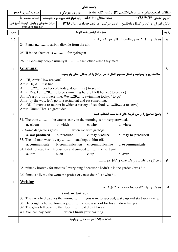|              |                                                                                                  |                            |                                                         | باسمه تعالى                                                                                                                       |                                                                                                         |               |  |  |
|--------------|--------------------------------------------------------------------------------------------------|----------------------------|---------------------------------------------------------|-----------------------------------------------------------------------------------------------------------------------------------|---------------------------------------------------------------------------------------------------------|---------------|--|--|
|              | ساعت شروع: <b>٨ صبح</b>                                                                          |                            |                                                         |                                                                                                                                   | سؤالات آمتحان نهایی درس : <b>زبان انگلیسی (۳)</b> رشته : <b>کلیه رشته ها م</b> م ا نام و نام خانوادگی : |               |  |  |
|              |                                                                                                  |                            |                                                         |                                                                                                                                   |                                                                                                         |               |  |  |
|              | مرکز سنجش و پایش کیفیت آموزشی<br>http://aee.medu.ir                                              |                            |                                                         |                                                                                                                                   | دانش آموزان روزانه، بزرگسالوداوطلبان آزاد سراسرکشور در <b>نوبت خرداد</b> ماه سال <b>۱۳۹۸</b>            |               |  |  |
| نمره         |                                                                                                  |                            |                                                         | سؤالات (ياسخ نامه دارد)                                                                                                           |                                                                                                         | رديف          |  |  |
| $1/\Delta$   |                                                                                                  |                            |                                                         |                                                                                                                                   | جملات زیر را با کلمه ای مناسب از دانش خود کامل کنید.                                                    | $\lambda$     |  |  |
|              | 24. Plants <b>a</b> carbon dioxide from the air.<br>25. H is the chemical <b>s</b> for hydrogen. |                            |                                                         |                                                                                                                                   |                                                                                                         |               |  |  |
|              |                                                                                                  |                            |                                                         |                                                                                                                                   |                                                                                                         |               |  |  |
|              |                                                                                                  |                            |                                                         |                                                                                                                                   |                                                                                                         |               |  |  |
|              |                                                                                                  |                            |                                                         | 26. In Germany people usually <b>h</b> each other when they meet.                                                                 |                                                                                                         |               |  |  |
| ٢            | <b>Grammar</b>                                                                                   |                            |                                                         |                                                                                                                                   |                                                                                                         | ٩             |  |  |
|              |                                                                                                  |                            |                                                         |                                                                                                                                   | مکالمه زیر را بخوانید و شکل صحیح افعال داخل پرانتز را در جاهای خالی بنویسید.                            |               |  |  |
|              | Ali: Hi, Amir. How are you?                                                                      |                            |                                                         |                                                                                                                                   |                                                                                                         |               |  |  |
|              | Amir: Hi, Ali. Just fine                                                                         |                            | Ali: It 27rather cold today, doesn't it? (to seem)      |                                                                                                                                   |                                                                                                         |               |  |  |
|              |                                                                                                  |                            |                                                         | Amir: Yes. I 28 to go swimming before I left home. (to decide)                                                                    |                                                                                                         |               |  |  |
|              |                                                                                                  |                            |                                                         | Ali: It's a pity! If it were fine, We 29 swimming today. (to go)<br>Amir: by the way, let's go to a restaurant and eat something. |                                                                                                         |               |  |  |
|              |                                                                                                  |                            |                                                         | Ali: OK. I know a restaurant in which a variety of sea foods 30 (to serve)                                                        |                                                                                                         |               |  |  |
|              | Amir: Umm! That's a great idea.                                                                  |                            |                                                         |                                                                                                                                   |                                                                                                         |               |  |  |
| $\mathbf{r}$ |                                                                                                  |                            |                                                         |                                                                                                                                   | پاسخ صحیح را از بین گزینه های داده شده انتخاب کنید.                                                     | $\mathcal{N}$ |  |  |
|              | a. whom                                                                                          |                            | b. which                                                | 31. The train  he catches early in the morning is not very crowded.<br>c. who                                                     | d. whose                                                                                                |               |  |  |
|              |                                                                                                  |                            |                                                         | 32. Some dangerous gases  when we burn garbage.                                                                                   |                                                                                                         |               |  |  |
|              |                                                                                                  | a. was produced b. produce |                                                         | c. may produce                                                                                                                    | d. may be produced                                                                                      |               |  |  |
|              |                                                                                                  |                            | 33. The old man wasn't very  and kept to himself.       |                                                                                                                                   |                                                                                                         |               |  |  |
|              | a. communicate                                                                                   |                            | b. communication                                        | c. communicative                                                                                                                  | d. to communicate                                                                                       |               |  |  |
|              | a. into                                                                                          |                            | b. on                                                   | 34. I did not read the introduction and jumped  the next part.<br>c. up                                                           | d. over                                                                                                 |               |  |  |
| $\mathbf{r}$ |                                                                                                  |                            |                                                         |                                                                                                                                   | با هر گروه از کلمات زیر یک جمله ی کامل بنویسید.                                                         | $\mathcal{V}$ |  |  |
|              |                                                                                                  |                            |                                                         |                                                                                                                                   |                                                                                                         |               |  |  |
|              |                                                                                                  |                            |                                                         |                                                                                                                                   | 35. rained / brown / for months / everything / because / hadn't / in the garden / was / it.             |               |  |  |
|              |                                                                                                  |                            |                                                         | 36. famous / lives / the woman / professor / next door / is / who / a.                                                            |                                                                                                         |               |  |  |
| $\mathbf{r}$ | <u>Writing</u>                                                                                   |                            |                                                         |                                                                                                                                   |                                                                                                         |               |  |  |
|              |                                                                                                  |                            |                                                         |                                                                                                                                   | جملات زیررا با کلمات ربط داده شده، کامل کنید.                                                           | $\mathcal{N}$ |  |  |
|              |                                                                                                  |                            | (and, or, but, so)                                      |                                                                                                                                   |                                                                                                         |               |  |  |
|              |                                                                                                  |                            |                                                         | 38. He bought a house, found a job,  chose a school for his children last year.                                                   | 37. The early bird catches the worm,  if you want to succeed, wake up and start work early.             |               |  |  |
|              |                                                                                                  |                            | 39. The glass fell down to the floor,  it didn't break. |                                                                                                                                   |                                                                                                         |               |  |  |
|              |                                                                                                  |                            | 40. You can pay now,  when I finish your painting.      |                                                                                                                                   |                                                                                                         |               |  |  |
|              |                                                                                                  |                            |                                                         | «ادامه سؤالات در صفحه ی چهارم»                                                                                                    |                                                                                                         |               |  |  |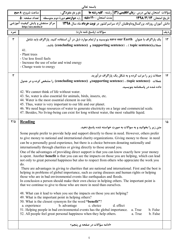|                                                                                                                                       | باسمه تعالى                                                                                                                                                                                                                                                                                                                                                                                                                                                           |  |                                                                                                                               |                                                                                                                                                                                                                                                                                                                                                                                                                                                                              |                                                                                                                                                                                                                                                                                                                                                                                                                                                                                                                                                                                                                                                                                                                                                                                                                                                                                                                                                                                                                                                             |               |  |  |
|---------------------------------------------------------------------------------------------------------------------------------------|-----------------------------------------------------------------------------------------------------------------------------------------------------------------------------------------------------------------------------------------------------------------------------------------------------------------------------------------------------------------------------------------------------------------------------------------------------------------------|--|-------------------------------------------------------------------------------------------------------------------------------|------------------------------------------------------------------------------------------------------------------------------------------------------------------------------------------------------------------------------------------------------------------------------------------------------------------------------------------------------------------------------------------------------------------------------------------------------------------------------|-------------------------------------------------------------------------------------------------------------------------------------------------------------------------------------------------------------------------------------------------------------------------------------------------------------------------------------------------------------------------------------------------------------------------------------------------------------------------------------------------------------------------------------------------------------------------------------------------------------------------------------------------------------------------------------------------------------------------------------------------------------------------------------------------------------------------------------------------------------------------------------------------------------------------------------------------------------------------------------------------------------------------------------------------------------|---------------|--|--|
|                                                                                                                                       | ساعت شروع: <b>٨ صبح</b>                                                                                                                                                                                                                                                                                                                                                                                                                                               |  | نام و نام خانوادگی :                                                                                                          |                                                                                                                                                                                                                                                                                                                                                                                                                                                                              | سؤالات امتحان نهایی درس : <b>زبان انگلیسی (3)  </b> رشته : <b>کلیه رشته ها</b>                                                                                                                                                                                                                                                                                                                                                                                                                                                                                                                                                                                                                                                                                                                                                                                                                                                                                                                                                                              |               |  |  |
|                                                                                                                                       | تعداد صفحه : ۵                                                                                                                                                                                                                                                                                                                                                                                                                                                        |  |                                                                                                                               | مدت امتحان : ۱۲۰قیقه   <sub>پایه</sub> دوازدهم دورهٔ دوم متوسطه                                                                                                                                                                                                                                                                                                                                                                                                              | تاريخ امتحان: ١٣٩٨/٣/١٣                                                                                                                                                                                                                                                                                                                                                                                                                                                                                                                                                                                                                                                                                                                                                                                                                                                                                                                                                                                                                                     |               |  |  |
| مرکز سنجش و پایش کیفیت آموزشی<br>دانش آموزان روزانه، بزرگسالوداوطلبان آزاد سراسرکشور در نوبت خرداد ماه سال ۱۳۹۸<br>http://aee.medu.ir |                                                                                                                                                                                                                                                                                                                                                                                                                                                                       |  |                                                                                                                               |                                                                                                                                                                                                                                                                                                                                                                                                                                                                              |                                                                                                                                                                                                                                                                                                                                                                                                                                                                                                                                                                                                                                                                                                                                                                                                                                                                                                                                                                                                                                                             |               |  |  |
| نمره                                                                                                                                  |                                                                                                                                                                                                                                                                                                                                                                                                                                                                       |  |                                                                                                                               | سؤالات (ياسخ نامه دارد)                                                                                                                                                                                                                                                                                                                                                                                                                                                      |                                                                                                                                                                                                                                                                                                                                                                                                                                                                                                                                                                                                                                                                                                                                                                                                                                                                                                                                                                                                                                                             | رديف          |  |  |
| ٣                                                                                                                                     | 41.<br>- Plant trees<br>- Use less fossil fuels<br>- Change waste to energy                                                                                                                                                                                                                                                                                                                                                                                           |  | - Increase the use of solar and wind energy                                                                                   |                                                                                                                                                                                                                                                                                                                                                                                                                                                                              | یک پاراگراف با عنوان   save our Earth بنویسید و از تمام موارد ذیل در آن استفاده کنید. پاراگراف باید شامل<br>جملات(topic sentence) ، (supporting sentence) و (concluding sentence) باشد.                                                                                                                                                                                                                                                                                                                                                                                                                                                                                                                                                                                                                                                                                                                                                                                                                                                                     | $\mathcal{N}$ |  |  |
| ٣                                                                                                                                     | جملات زیر را مرتب کرده و به شکل یک پاراگراف در آورید.<br>$\mathcal{N}$<br>جملات (topic sentence) ، (supporting sentence)و (concluding sentence) را مشخص کرده و در جدول                                                                                                                                                                                                                                                                                                |  |                                                                                                                               |                                                                                                                                                                                                                                                                                                                                                                                                                                                                              |                                                                                                                                                                                                                                                                                                                                                                                                                                                                                                                                                                                                                                                                                                                                                                                                                                                                                                                                                                                                                                                             |               |  |  |
|                                                                                                                                       | داده شده در پاسخنامه بنویسید.<br>42. We cannot think of life without water.<br>43. So, water is also essential for animals, birds, insects, etc.<br>44. Water is the most essential element in our life.<br>45. Thus, water is very important to our life and our planet.<br>46. We need huge resources of water to generate electricity on a large and commercial scale.<br>47. Besides, No living-being can exist for long without water, the most valuable liquid. |  |                                                                                                                               |                                                                                                                                                                                                                                                                                                                                                                                                                                                                              |                                                                                                                                                                                                                                                                                                                                                                                                                                                                                                                                                                                                                                                                                                                                                                                                                                                                                                                                                                                                                                                             |               |  |  |
| $\frac{8}{4}$                                                                                                                         | <b>Reading</b><br>do.<br>a. experience                                                                                                                                                                                                                                                                                                                                                                                                                                |  | 49. What is the important point in helping others?<br>50. What is the closest synonym for the word "benefit"?<br>b. advantage | internationally through charities or giving directly to those around you.<br>those who are in bad environmental events like earthquakes and floods.<br>that we continue to give to those who are more in need than ourselves.<br>48. What can it lead to when you see the impacts on those you are helping?<br>c. choice<br>51. Helping people in bad environmental events has the global importance.<br>52. All people feel great personal happiness when they help others. | متن زیر را بخوانید و به سوالات به صورت خواسته شده پاسخ دهید.<br>Some people prefer to provide help and support directly to those in need. However, others prefer<br>to give money to national and international charity organizations. Giving money to those in need<br>can be a personally good experience, but there is a choice between donating nationally and<br>One of the advantages of providing direct support is that you can know exactly how your money<br>is spent. Another <b>benefit</b> is that you can see the impacts on those you are helping, which can lead<br>not only to great personal happiness but also to respect from others who appreciate the work you<br>There are advantages in giving to charities that are national and international. First and the best is<br>helping in problems of global importance, such as curing diseases and human rights or helping<br>In conclusion a person should make their own choice in helping others. The important point is<br>d. effect<br>a. True<br>b. False<br>a. True<br>b. False | ۱۵            |  |  |
|                                                                                                                                       |                                                                                                                                                                                                                                                                                                                                                                                                                                                                       |  |                                                                                                                               | «ادامه سؤالات در صفحه ی پنجم»                                                                                                                                                                                                                                                                                                                                                                                                                                                |                                                                                                                                                                                                                                                                                                                                                                                                                                                                                                                                                                                                                                                                                                                                                                                                                                                                                                                                                                                                                                                             |               |  |  |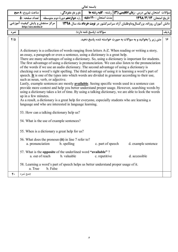| باسمه تعالى                                                                                                                           |                                                                                                                                                                                                                                                                                                                                                                                                                                                                                                                                                                                                                                                                                                                                                                           |          |                      |                                                                                     |  |                                                                               |  |  |
|---------------------------------------------------------------------------------------------------------------------------------------|---------------------------------------------------------------------------------------------------------------------------------------------------------------------------------------------------------------------------------------------------------------------------------------------------------------------------------------------------------------------------------------------------------------------------------------------------------------------------------------------------------------------------------------------------------------------------------------------------------------------------------------------------------------------------------------------------------------------------------------------------------------------------|----------|----------------------|-------------------------------------------------------------------------------------|--|-------------------------------------------------------------------------------|--|--|
|                                                                                                                                       | ساعت شروع: <b>٨ صبح</b>                                                                                                                                                                                                                                                                                                                                                                                                                                                                                                                                                                                                                                                                                                                                                   |          | نام و نام خانوادگی : |                                                                                     |  | سؤالات  متحان نهايي درس : <b>زبان انگليسي (3) </b> رشته : <b>كليه رشته ها</b> |  |  |
|                                                                                                                                       |                                                                                                                                                                                                                                                                                                                                                                                                                                                                                                                                                                                                                                                                                                                                                                           |          |                      |                                                                                     |  |                                                                               |  |  |
| مرکز سنجش و پایش کیفیت آموزشی<br>دانش آموزان روزانه، بزرگسالوداوطلبان آزاد سراسرکشور در نوبت خرداد ماه سال ۱۳۹۸<br>http://aee.medu.ir |                                                                                                                                                                                                                                                                                                                                                                                                                                                                                                                                                                                                                                                                                                                                                                           |          |                      |                                                                                     |  |                                                                               |  |  |
| نمره                                                                                                                                  | سؤالات (ياسخ نامه دارد)                                                                                                                                                                                                                                                                                                                                                                                                                                                                                                                                                                                                                                                                                                                                                   |          |                      |                                                                                     |  |                                                                               |  |  |
| $F/\Delta$                                                                                                                            | متن زیر را بخوانید و به سوالات به صورت خواسته شده پاسخ دهید.<br>16<br>A dictionary is a collection of words ranging from letters A-Z. When reading or writing a story,<br>an essay, a paragraph or even a sentence, using a dictionary is a great help.<br>There are many advantages of using a dictionary. So, using a dictionary is important for students.<br>The first advantage of using a dictionary is pronunciation. We can also listen to the pronunciation<br>of the words if we use an audio dictionary. The second advantage of using a dictionary is<br>checking out a word's right spelling. The third advantage of using it is learning a word's part of<br>speech. It is one of the types into which words are divided in grammar according to their use, |          |                      |                                                                                     |  |                                                                               |  |  |
|                                                                                                                                       | such as noun, verb, or adjective.<br>Lastly, example sentences are mostly <b>available</b> . Seeing specific words used in a sentence can<br>provide more context and help you better understand proper usage. However, searching words by<br>using a dictionary takes a lot of time. By using a talking dictionary, we are able to look the words<br>up in a few minutes.<br>As a result, a dictionary is a great help for everyone, especially students who are learning a<br>language and who are interested in language learning.                                                                                                                                                                                                                                     |          |                      |                                                                                     |  |                                                                               |  |  |
|                                                                                                                                       | 53. How can a talking dictionary help us?<br>54. What is the use of example sentences?                                                                                                                                                                                                                                                                                                                                                                                                                                                                                                                                                                                                                                                                                    |          |                      |                                                                                     |  |                                                                               |  |  |
|                                                                                                                                       | 55. When is a dictionary a great help for us?                                                                                                                                                                                                                                                                                                                                                                                                                                                                                                                                                                                                                                                                                                                             |          |                      |                                                                                     |  |                                                                               |  |  |
|                                                                                                                                       | 56. What does the pronoun (it) in line 7 refer to?<br>d. example sentence<br>a. pronunciation<br>b. spelling<br>c. part of speech                                                                                                                                                                                                                                                                                                                                                                                                                                                                                                                                                                                                                                         |          |                      |                                                                                     |  |                                                                               |  |  |
|                                                                                                                                       | 57. What is the <b>opposite</b> of the underlined word "available"?<br>d. accessible<br>a. out of reach<br>b. valuable<br>c. repetitive                                                                                                                                                                                                                                                                                                                                                                                                                                                                                                                                                                                                                                   |          |                      |                                                                                     |  |                                                                               |  |  |
|                                                                                                                                       | a. True                                                                                                                                                                                                                                                                                                                                                                                                                                                                                                                                                                                                                                                                                                                                                                   | b. False |                      | 58. Learning a word's part of speech helps us better understand proper usage of it. |  |                                                                               |  |  |
| ۴٠                                                                                                                                    | جمع نمره                                                                                                                                                                                                                                                                                                                                                                                                                                                                                                                                                                                                                                                                                                                                                                  |          |                      |                                                                                     |  |                                                                               |  |  |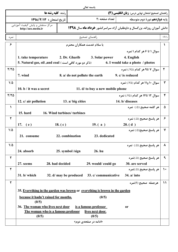|                |                                                                                                                                 |                                | باسمه تعالى                                          |                                                         |               |
|----------------|---------------------------------------------------------------------------------------------------------------------------------|--------------------------------|------------------------------------------------------|---------------------------------------------------------|---------------|
|                | <b>رشته: کلیه رشته ها</b>                                                                                                       |                                |                                                      | راهنمای تصحیح امتحان نهایی درس: <b>زبان انگلیسی (۳)</b> |               |
|                | تاريخ امتحان : ١٣٩٨/٣/١٣                                                                                                        |                                | تعداد صفحه :٢<br>يايه <b>دوازدهم</b> دورة دوم متوسطه |                                                         |               |
|                | مرکز سنجش و پایش کیفیت آموزشی<br>دانش آموزان روزانه، بزرگسال و داوطلبان آزاد سراسرکشور خرداد ماه سال ۱۳۹۸<br>http://aee.medu.ir |                                |                                                      |                                                         |               |
| نمره           |                                                                                                                                 |                                | راهنماي تصحيح                                        |                                                         | رديف          |
| ۶              |                                                                                                                                 |                                | با سلام خدمت همکاران محتر م                          |                                                         | $\lambda$     |
|                |                                                                                                                                 |                                |                                                      | سوال ۱ تا ۶ هر کدام ۱ نمره                              |               |
|                | 1. take temperature                                                                                                             | 2. Dr. Gharib                  | 3. Solar power                                       | 4. English                                              |               |
|                | 5. Natural gas, oil ,and coal (ناکر دو مورد کافی است)                                                                           |                                |                                                      | 6. I would take a photo / photos                        |               |
| $Y/Y$ $\Delta$ |                                                                                                                                 |                                |                                                      | سوال ۷ تا۹ هر کدام (۷۵٪) نمره                           | ۲             |
|                | 7. wind                                                                                                                         | 8. a/ do not pollute the earth |                                                      | 9. c/ is reduced                                        |               |
| $1/\Delta$     |                                                                                                                                 |                                |                                                      | سوال ۱۰ و ۱۱ هر کدام (۷۵٪) نمره                         | ٣             |
|                | 10. $b / it$ was a secret                                                                                                       |                                | 11. d/ to buy a new mobile phone                     |                                                         |               |
| $Y/Y$ $\Delta$ |                                                                                                                                 |                                |                                                      | سوال ۱۲ تا۱۴ هر کدام (۷۵٪) نمره                         | $\mathbf{r}$  |
|                | 12. $c/$ air pollution                                                                                                          | 13. a/ big cities              |                                                      | 14. b/ diseases                                         |               |
| $\lambda$      |                                                                                                                                 |                                |                                                      | هر كلمه صحيح (۵/.) نمره                                 | ۵             |
|                | <b>15. hard</b>                                                                                                                 | 16. Wind turbines/ turbines    |                                                      |                                                         |               |
| $\mathbf{r}$   |                                                                                                                                 |                                |                                                      | هر پاسخ صحيح (۵/) نمره                                  | ۶             |
|                | 17. $(e)$                                                                                                                       | 18. $(c)$                      | 19. $(a)$                                            | 20. (d)                                                 |               |
| $1/\Delta$     |                                                                                                                                 |                                |                                                      | هر ياسخ صحيح(۵/.) نمره                                  | ۷             |
|                | 21. consume                                                                                                                     | 22. combination                | 23. dedicated                                        |                                                         |               |
| $1/\Delta$     |                                                                                                                                 |                                |                                                      | هر پاسخ صحیح (۵/.) نمره                                 | ۸             |
|                | 24. absorb                                                                                                                      | 25. symbol /sign               | 26. hu                                               |                                                         |               |
| $\mathbf{r}$   |                                                                                                                                 |                                |                                                      | هر پاسخ صحیح (۵٪)نمره                                   | ٩             |
|                | 27. seems<br>28. had decided                                                                                                    |                                | 29. would/could go                                   | 30. are served                                          |               |
| ٢              |                                                                                                                                 |                                |                                                      | هر ياسخ صحيح (۵/.)نمره                                  | $\mathcal{L}$ |
|                | $31. b/$ which                                                                                                                  |                                | 32. d/ may be produced 33. c/ communicative          | $34. a/$ into                                           |               |
| $\mathbf{r}$   |                                                                                                                                 |                                |                                                      | هرجمله صحيح (١)نمره                                     | $\mathcal{V}$ |
|                | 35. Everything in the garden was brown or everything is brown in the garden                                                     |                                |                                                      |                                                         |               |
|                | because it hadn't rained for months.<br>(0/5)                                                                                   |                                | (0/5)                                                |                                                         |               |
|                | 36. The woman who lives next door                                                                                               |                                | is a famous professor                                | <b>or</b>                                               |               |
|                | The woman who is a famous professor<br>(0/5)                                                                                    |                                | lives next door.<br>(0/5)                            |                                                         |               |
|                |                                                                                                                                 |                                | «ادامه در صفحهی دوم»                                 |                                                         |               |